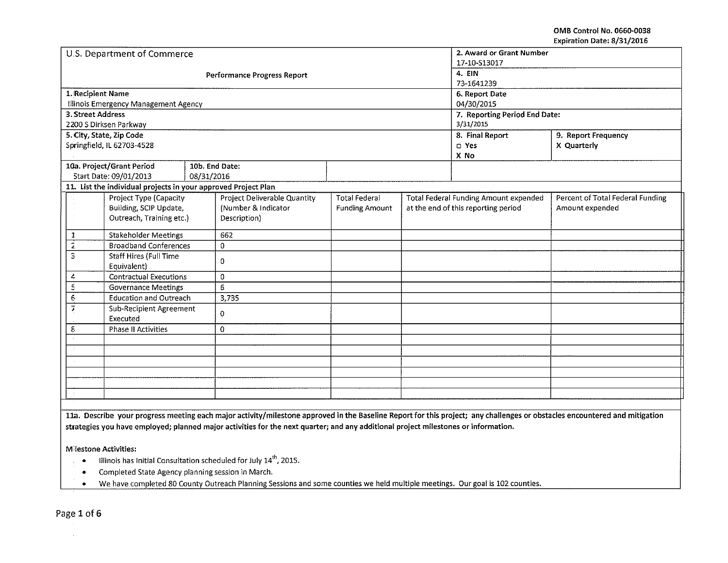OMB Control No. 0660-0038 Expiration Date: 8/31/2016

|                              | U.S. Department of Commerce                                    |            |                                    | 2. Award or Grant Number      |  |                                              |                                  |
|------------------------------|----------------------------------------------------------------|------------|------------------------------------|-------------------------------|--|----------------------------------------------|----------------------------------|
|                              |                                                                |            |                                    | 17-10-S13017                  |  |                                              |                                  |
|                              |                                                                |            | <b>Performance Progress Report</b> | 4. EIN                        |  |                                              |                                  |
|                              |                                                                |            |                                    | 73-1641239                    |  |                                              |                                  |
| 1. Recipient Name            |                                                                |            |                                    | 6. Report Date                |  |                                              |                                  |
|                              | Illinois Emergency Management Agency                           |            |                                    | 04/30/2015                    |  |                                              |                                  |
| 3. Street Address            |                                                                |            |                                    | 7. Reporting Period End Date: |  |                                              |                                  |
|                              | 2200 S Dirksen Parkway                                         |            |                                    | 3/31/2015                     |  |                                              |                                  |
|                              | 5. City, State, Zip Code                                       |            |                                    |                               |  | 8. Final Report                              | 9. Report Frequency              |
|                              | Springfield, IL 62703-4528                                     |            |                                    |                               |  | D Yes                                        | X Quarterly                      |
|                              |                                                                |            |                                    |                               |  | X No                                         |                                  |
|                              | 10a. Project/Grant Period                                      |            | 10b. End Date:                     |                               |  |                                              |                                  |
|                              | Start Date: 09/01/2013                                         | 08/31/2016 |                                    |                               |  |                                              |                                  |
|                              | 11. List the individual projects in your approved Project Plan |            |                                    |                               |  |                                              |                                  |
|                              | Project Type (Capacity                                         |            | Project Deliverable Quantity       | <b>Total Federal</b>          |  | <b>Total Federal Funding Amount expended</b> | Percent of Total Federal Funding |
|                              | Building, SCIP Update,                                         |            | (Number & Indicator                | <b>Funding Amount</b>         |  | at the end of this reporting period          | Amount expended                  |
|                              | Outreach, Training etc.)                                       |            | Description)                       |                               |  |                                              |                                  |
|                              |                                                                |            |                                    |                               |  |                                              |                                  |
| 1                            | <b>Stakeholder Meetings</b>                                    |            | 662                                |                               |  |                                              |                                  |
| $\overline{z}$               | <b>Broadband Conferences</b>                                   |            | 0                                  |                               |  |                                              |                                  |
| 3                            | <b>Staff Hires (Full Time</b>                                  |            | 0                                  |                               |  |                                              |                                  |
|                              | Equivalent)                                                    |            |                                    |                               |  |                                              |                                  |
| 4                            | <b>Contractual Executions</b>                                  |            | 0                                  |                               |  |                                              |                                  |
|                              | $\Xi$<br><b>Governance Meetings</b>                            |            | 6                                  |                               |  |                                              |                                  |
| $\epsilon$                   | <b>Education and Outreach</b>                                  |            | 3,735                              |                               |  |                                              |                                  |
| 7<br>Sub-Recipient Agreement |                                                                | 0          |                                    |                               |  |                                              |                                  |
| Executed                     |                                                                |            |                                    |                               |  |                                              |                                  |
| ε                            | Phase II Activities                                            |            | 0                                  |                               |  |                                              |                                  |
|                              |                                                                |            |                                    |                               |  |                                              |                                  |
|                              |                                                                |            |                                    |                               |  |                                              |                                  |
|                              |                                                                |            |                                    |                               |  |                                              |                                  |
|                              |                                                                |            |                                    |                               |  |                                              |                                  |
|                              |                                                                |            |                                    |                               |  |                                              |                                  |
|                              |                                                                |            |                                    |                               |  |                                              |                                  |
|                              |                                                                |            |                                    |                               |  |                                              |                                  |

lla. Describe your progress meeting each major activity/milestone approved in the Baseline Report for this project; any challenges or obstacles encountered and mitigation strategies you have employed; planned major activities for the next quarter; and any additional project milestones or information.

M'lestone Activities:

- Illinois has Initial Consultation scheduled for July  $14<sup>th</sup>$ , 2015.
- Completed State Agency planning session in March .
- We have completed 80 County Outreach Planning Sessions and some counties we held multiple meetings. Our goal is 102 counties .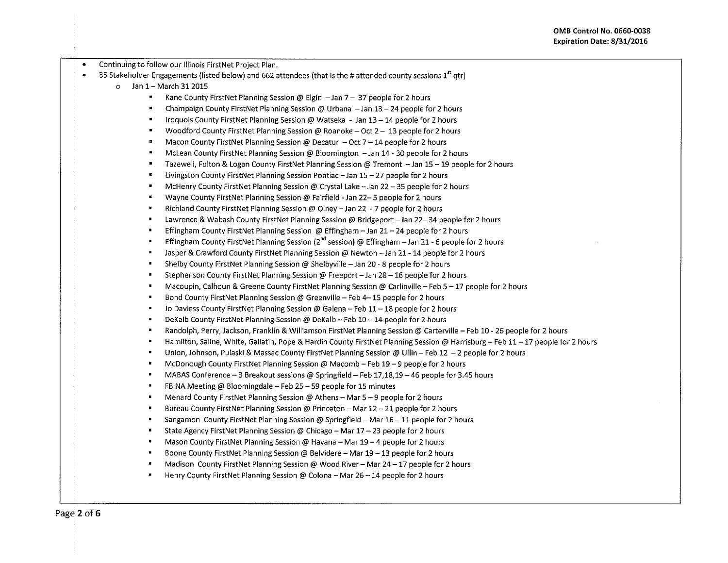| $\bullet$ | Continuing to follow our Illinois FirstNet Project Plan.                                                                                          |
|-----------|---------------------------------------------------------------------------------------------------------------------------------------------------|
|           | 35 Stakeholder Engagements (listed below) and 662 attendees (that is the # attended county sessions 1 <sup>st</sup> qtr)                          |
|           | Jan 1 - March 31 2015<br>$\circ$                                                                                                                  |
|           | ٠<br>Kane County FirstNet Planning Session @ Elgin $-$ Jan 7 $-$ 37 people for 2 hours                                                            |
|           | Champaign County FirstNet Planning Session @ Urbana - Jan 13 - 24 people for 2 hours<br>п                                                         |
|           | Iroquois County FirstNet Planning Session @ Watseka - Jan 13 - 14 people for 2 hours<br>$\blacksquare$                                            |
|           | Woodford County FirstNet Planning Session @ Roanoke - Oct 2 - 13 people for 2 hours<br>٠                                                          |
|           | $\blacksquare$<br>Macon County FirstNet Planning Session @ Decatur - Oct 7 - 14 people for 2 hours                                                |
|           | $\blacksquare$<br>McLean County FirstNet Planning Session @ Bloomington - Jan 14 - 30 people for 2 hours                                          |
|           | $\blacksquare$<br>Tazewell, Fulton & Logan County FirstNet Planning Session @ Tremont -Jan 15 - 19 people for 2 hours                             |
|           | Livingston County FirstNet Planning Session Pontiac - Jan 15 - 27 people for 2 hours                                                              |
|           | ш<br>McHenry County FirstNet Planning Session @ Crystal Lake - Jan 22 - 35 people for 2 hours                                                     |
|           | $\blacksquare$<br>Wayne County FirstNet Planning Session @ Fairfield - Jan 22-5 people for 2 hours                                                |
|           | $\pmb{\mathfrak{m}}$<br>Richland County FirstNet Planning Session @ Olney - Jan 22 - 7 people for 2 hours                                         |
|           | $\blacksquare$<br>Lawrence & Wabash County FirstNet Planning Session @ Bridgeport - Jan 22-34 people for 2 hours                                  |
|           | Effingham County FirstNet Planning Session @ Effingham - Jan 21 - 24 people for 2 hours<br>w                                                      |
|           | Effingham County FirstNet Planning Session (2 <sup>nd</sup> session) @ Effingham - Jan 21 - 6 people for 2 hours                                  |
|           | Jasper & Crawford County FirstNet Planning Session @ Newton - Jan 21 - 14 people for 2 hours<br>$\blacksquare$                                    |
|           | Shelby County FirstNet Planning Session @ Shelbyville - Jan 20 - 8 people for 2 hours<br>٠                                                        |
|           | ø<br>Stephenson County FirstNet Planning Session @ Freeport - Jan 28 - 16 people for 2 hours                                                      |
|           | M.<br>Macoupin, Calhoun & Greene County FirstNet Planning Session @ Carlinville - Feb 5 - 17 people for 2 hours                                   |
|           | $\blacksquare$<br>Bond County FirstNet Planning Session @ Greenville - Feb 4-15 people for 2 hours                                                |
|           | Jo Daviess County FirstNet Planning Session @ Galena - Feb 11 - 18 people for 2 hours<br>٠                                                        |
|           | DeKalb County FirstNet Planning Session @ DeKalb - Feb 10 - 14 people for 2 hours<br>ш                                                            |
|           | Randolph, Perry, Jackson, Franklin & Williamson FirstNet Planning Session @ Carterville - Feb 10 - 26 people for 2 hours<br>$\blacksquare$        |
|           | Hamilton, Saline, White, Gallatin, Pope & Hardin County FirstNet Planning Session @ Harrisburg - Feb 11 - 17 people for 2 hours<br>$\blacksquare$ |
|           | Union, Johnson, Pulaski & Massac County FirstNet Planning Session @ Ullin - Feb 12 - 2 people for 2 hours<br>$\blacksquare$                       |
|           | McDonough County FirstNet Planning Session @ Macomb - Feb 19 - 9 people for 2 hours<br>Ħ                                                          |
|           | MABAS Conference - 3 Breakout sessions @ Springfield - Feb 17,18,19 - 46 people for 3.45 hours<br>$\blacksquare$                                  |
|           | FBINA Meeting @ Bloomingdale - Feb 25 - 59 people for 15 minutes<br>×                                                                             |
|           | Menard County FirstNet Planning Session @ Athens - Mar 5 - 9 people for 2 hours<br>ш                                                              |
|           | Bureau County FirstNet Planning Session @ Princeton - Mar 12 - 21 people for 2 hours                                                              |
|           | Sangamon County FirstNet Planning Session @ Springfield - Mar 16 - 11 people for 2 hours<br>٠                                                     |
|           | $\blacksquare$<br>State Agency FirstNet Planning Session @ Chicago - Mar 17 - 23 people for 2 hours                                               |
|           | Mason County FirstNet Planning Session @ Havana - Mar 19 - 4 people for 2 hours<br>$\blacksquare$                                                 |
|           | Boone County FirstNet Planning Session @ Belvidere - Mar 19 - 13 people for 2 hours<br>٠                                                          |
|           | Madison County FirstNet Planning Session @ Wood River - Mar 24 - 17 people for 2 hours<br>ш                                                       |
|           | Henry County FirstNet Planning Session @ Colona - Mar 26 - 14 people for 2 hours                                                                  |
|           |                                                                                                                                                   |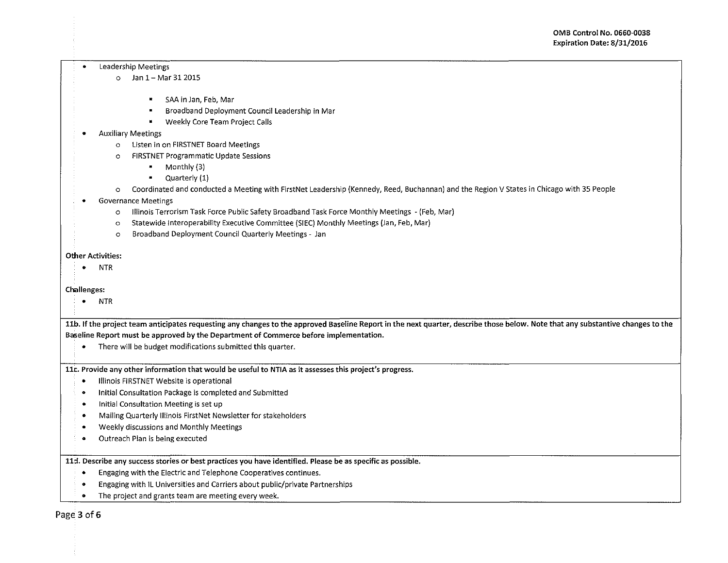#### • Leadership Meetings

- o Jan 1- Mar 312015
	- SAA in Jan, Feb, Mar
	- Broadband Deployment Council leadership in Mar
	- Weekly Core Team Project Calls

### • Auxiliary Meetings

- o Listen in on FIRSTNET Board Meetings
- o FIRSTNET Programmatic Update Sessions
	- Monthly (3)
	- Quarterly (1)
- o Coordinated and conducted a Meeting with FirstNet Leadership {Kennedy, Reed, Buchannan) and the Region V States in Chicago with 35 People
- Governance Meetings
	- o Illinois Terrorism Task Force Public Safety Broadband Task Force Monthly Meetings ~(Feb, Mar)
	- o Statewide lnteroperability Executive Committee (SIEC) Monthly Meetings {Jan, Feb, Mar)
	- o Broadband Deployment Council Quarterly Meetings- Jan

#### Other Activities:

• NTR

### Challenges:

• NTR

11b. If the project team anticipates requesting any changes to the approved Baseline Report in the next quarter, describe those below. Note that any substantive changes to the Baseline Report must be approved by the Department of Commerce before implementation.

• There will be budget modifications submitted this quarter.

llc. Provide any other information that would be useful to NTIA as it assesses this project's progress.

- Illinois FIRSTNET Website is operational
- Initial Consultation Package is completed and Submitted
- Initial Consultation Meeting is set up
- Mailing Quarterly Illinois First Net Newsletter for stakeholders
- Weekly discussions and Monthly Meetings
- Outreach Plan is being executed

11. Describe any success stories or best practices you have identified. Please be as specific as possible.

- Engaging with the Electric and Telephone Cooperatives continues.
- Engaging with IL Universities and Carriers about public/private Partnerships
- The project and grants team are meeting every week.

Page 3 of 6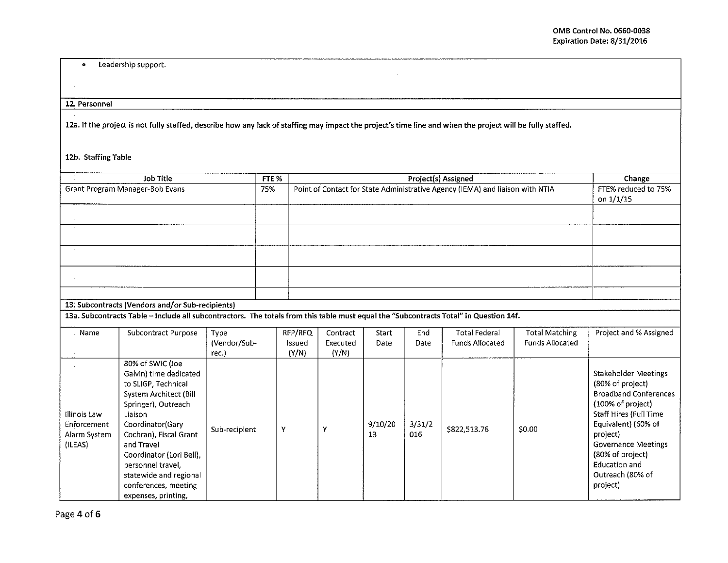# • Leadership support.

## 12. Personnel

12a. If the project is not fully staffed, describe how any Jack of staffing may impact the project's time line and when the project will be fully staffed.

# 12b. Staffing Table

|                                                                                                                                       |                                                                                                                                                                                                                                                                                                                     |               |       |         |                                                                               |               |               | Project(s) Assigned    |                        |                                                                                                                                                                                                                                                                      |
|---------------------------------------------------------------------------------------------------------------------------------------|---------------------------------------------------------------------------------------------------------------------------------------------------------------------------------------------------------------------------------------------------------------------------------------------------------------------|---------------|-------|---------|-------------------------------------------------------------------------------|---------------|---------------|------------------------|------------------------|----------------------------------------------------------------------------------------------------------------------------------------------------------------------------------------------------------------------------------------------------------------------|
| Job Title                                                                                                                             |                                                                                                                                                                                                                                                                                                                     |               | FTE % |         |                                                                               | Change        |               |                        |                        |                                                                                                                                                                                                                                                                      |
| Grant Program Manager-Bob Evans                                                                                                       |                                                                                                                                                                                                                                                                                                                     |               |       |         | Point of Contact for State Administrative Agency (IEMA) and liaison with NTIA |               |               |                        |                        | FTE% reduced to 75%                                                                                                                                                                                                                                                  |
|                                                                                                                                       |                                                                                                                                                                                                                                                                                                                     |               |       |         |                                                                               | on 1/1/15     |               |                        |                        |                                                                                                                                                                                                                                                                      |
|                                                                                                                                       |                                                                                                                                                                                                                                                                                                                     |               |       |         |                                                                               |               |               |                        |                        |                                                                                                                                                                                                                                                                      |
|                                                                                                                                       |                                                                                                                                                                                                                                                                                                                     |               |       |         |                                                                               |               |               |                        |                        |                                                                                                                                                                                                                                                                      |
|                                                                                                                                       |                                                                                                                                                                                                                                                                                                                     |               |       |         |                                                                               |               |               |                        |                        |                                                                                                                                                                                                                                                                      |
|                                                                                                                                       |                                                                                                                                                                                                                                                                                                                     |               |       |         |                                                                               |               |               |                        |                        |                                                                                                                                                                                                                                                                      |
|                                                                                                                                       |                                                                                                                                                                                                                                                                                                                     |               |       |         |                                                                               |               |               |                        |                        |                                                                                                                                                                                                                                                                      |
|                                                                                                                                       |                                                                                                                                                                                                                                                                                                                     |               |       |         |                                                                               |               |               |                        |                        |                                                                                                                                                                                                                                                                      |
|                                                                                                                                       |                                                                                                                                                                                                                                                                                                                     |               |       |         |                                                                               |               |               |                        |                        |                                                                                                                                                                                                                                                                      |
|                                                                                                                                       |                                                                                                                                                                                                                                                                                                                     |               |       |         |                                                                               |               |               |                        |                        |                                                                                                                                                                                                                                                                      |
|                                                                                                                                       |                                                                                                                                                                                                                                                                                                                     |               |       |         |                                                                               |               |               |                        |                        |                                                                                                                                                                                                                                                                      |
|                                                                                                                                       |                                                                                                                                                                                                                                                                                                                     |               |       |         |                                                                               |               |               |                        |                        |                                                                                                                                                                                                                                                                      |
|                                                                                                                                       | 13. Subcontracts (Vendors and/or Sub-recipients)                                                                                                                                                                                                                                                                    |               |       |         |                                                                               |               |               |                        |                        |                                                                                                                                                                                                                                                                      |
| 13a. Subcontracts Table - Include all subcontractors. The totals from this table must equal the "Subcontracts Total" in Question 14f. |                                                                                                                                                                                                                                                                                                                     |               |       |         |                                                                               |               |               |                        |                        |                                                                                                                                                                                                                                                                      |
| Name                                                                                                                                  | Subcontract Purpose                                                                                                                                                                                                                                                                                                 | Type          |       | RFP/RFQ | Contract                                                                      | Start         | End           | <b>Total Federal</b>   | <b>Total Matching</b>  | Project and % Assigned                                                                                                                                                                                                                                               |
|                                                                                                                                       |                                                                                                                                                                                                                                                                                                                     | (Vendor/Sub-  |       | Issued  | Executed                                                                      | Date          | Date          | <b>Funds Allocated</b> | <b>Funds Allocated</b> |                                                                                                                                                                                                                                                                      |
|                                                                                                                                       |                                                                                                                                                                                                                                                                                                                     | rec.)         |       | (Y/N)   | (Y/N)                                                                         |               |               |                        |                        |                                                                                                                                                                                                                                                                      |
| Illinois Law<br>Enforcement<br>Alarm System<br>(ILEAS)                                                                                | 80% of SWIC (Joe<br>Galvin) time dedicated<br>to SLIGP, Technical<br>System Architect (Bill<br>Springer), Outreach<br>Liaison<br>Coordinator(Gary<br>Cochran), Fiscal Grant<br>and Travel<br>Coordinator (Lori Bell),<br>personnel travel,<br>statewide and regional<br>conferences, meeting<br>expenses, printing, | Sub-recipient | Y     |         | Y                                                                             | 9/10/20<br>13 | 3/31/2<br>016 | \$822,513.76           | \$0.00                 | <b>Stakeholder Meetings</b><br>(80% of project)<br><b>Broadband Conferences</b><br>(100% of project)<br>Staff Hires (Full Time<br>Equivalent) (60% of<br>project)<br><b>Governance Meetings</b><br>(80% of project)<br>Education and<br>Outreach (80% of<br>project) |

Page 4 of 6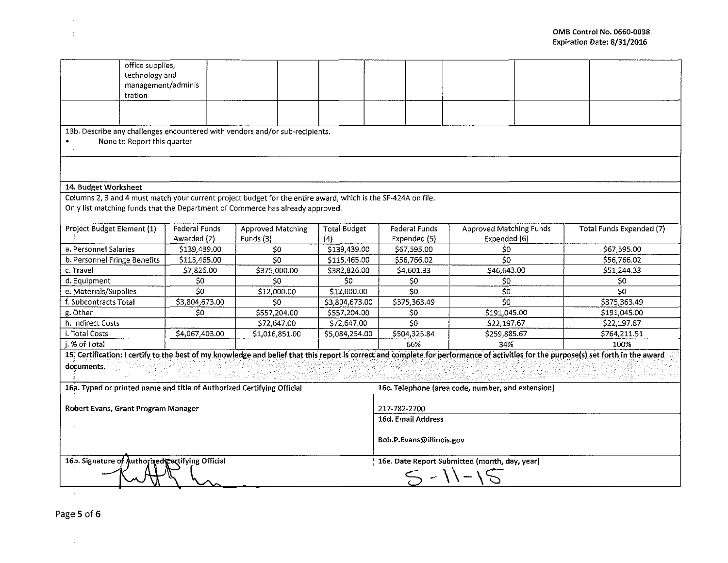|                                                                                                                                                                                                                                                                                                                                               | office supplies,<br>technology and<br>management/adminis<br>tration |                                                  |                                |                                               |                                      |                                                |                          |  |  |
|-----------------------------------------------------------------------------------------------------------------------------------------------------------------------------------------------------------------------------------------------------------------------------------------------------------------------------------------------|---------------------------------------------------------------------|--------------------------------------------------|--------------------------------|-----------------------------------------------|--------------------------------------|------------------------------------------------|--------------------------|--|--|
| 13b. Describe any challenges encountered with vendors and/or sub-recipients.<br>None to Report this quarter                                                                                                                                                                                                                                   |                                                                     |                                                  |                                |                                               |                                      |                                                |                          |  |  |
|                                                                                                                                                                                                                                                                                                                                               |                                                                     |                                                  |                                |                                               |                                      |                                                |                          |  |  |
| 14. Budget Worksheet                                                                                                                                                                                                                                                                                                                          |                                                                     |                                                  |                                |                                               |                                      |                                                |                          |  |  |
| Columns 2, 3 and 4 must match your current project budget for the entire award, which is the SF-424A on file.<br>Only list matching funds that the Department of Commerce has already approved.                                                                                                                                               |                                                                     |                                                  |                                |                                               |                                      |                                                |                          |  |  |
| Project Budget Element (1)                                                                                                                                                                                                                                                                                                                    |                                                                     | Federal Funds<br>Awarded (2)                     | Approved Matching<br>Funds (3) | <b>Total Budget</b><br>(4)                    | <b>Federal Funds</b><br>Expended (5) | <b>Approved Matching Funds</b><br>Expended (6) | Total Funds Expended (7) |  |  |
| a. Personnel Salaries                                                                                                                                                                                                                                                                                                                         |                                                                     | \$139,439.00                                     | SO.                            | \$139,439.00                                  | \$67,595.00                          | \$0                                            | \$67,595.00              |  |  |
| b. Personnel Fringe Benefits                                                                                                                                                                                                                                                                                                                  |                                                                     | \$115,465.00                                     | 50 <sub>2</sub>                | \$115,465.00                                  | \$56,766.02                          | \$0                                            | \$56,766.02              |  |  |
| c. Travel                                                                                                                                                                                                                                                                                                                                     |                                                                     | \$7,826.00                                       | \$375,000.00                   | \$382,826.00                                  | \$4,601.33                           | \$46,643.00                                    | \$51,244.33              |  |  |
| d. Equipment                                                                                                                                                                                                                                                                                                                                  |                                                                     | \$0                                              | \$0                            | \$0                                           | \$0                                  | \$0                                            | SO.                      |  |  |
| e. Materials/Supplies                                                                                                                                                                                                                                                                                                                         |                                                                     | \$0                                              | \$12,000.00                    | \$12,000.00                                   | \$0                                  | \$0                                            | 50 <sub>o</sub>          |  |  |
| f. Subcontracts Total                                                                                                                                                                                                                                                                                                                         |                                                                     | \$3,804,673.00                                   | 50                             | \$3,804,673.00                                | \$375,363.49                         | \$0                                            | \$375,363.49             |  |  |
| g. Other                                                                                                                                                                                                                                                                                                                                      |                                                                     | \$0                                              | \$557,204.00                   | \$557,204.00                                  | S <sub>0</sub>                       | \$191,045.00                                   | \$191,045.00             |  |  |
| h. indirect Costs                                                                                                                                                                                                                                                                                                                             |                                                                     |                                                  | \$72,647.00                    | \$72,647.00                                   | 50                                   | \$22,197.67                                    | \$22,197.67              |  |  |
| i. Total Costs                                                                                                                                                                                                                                                                                                                                |                                                                     | \$4,067,403.00                                   | \$1,016,851.00                 | \$5,084,254.00                                | \$504,325.84                         | \$259,885.67                                   | \$764,211.51             |  |  |
| i. % of Total                                                                                                                                                                                                                                                                                                                                 |                                                                     |                                                  |                                |                                               | 66%                                  | 34%                                            | 100%                     |  |  |
| 15 <sup>2</sup> Certification: I certify to the best of my knowledge and belief that this report is correct and complete for performance of activities for the purpose(s) set forth in the award<br>documents.<br>16a. Typed or printed name and title of Authorized Certifying Official<br>16c. Telephone (area code, number, and extension) |                                                                     |                                                  |                                |                                               |                                      |                                                |                          |  |  |
| Robert Evans, Grant Program Manager                                                                                                                                                                                                                                                                                                           |                                                                     |                                                  |                                | 217-782-2700                                  |                                      |                                                |                          |  |  |
|                                                                                                                                                                                                                                                                                                                                               |                                                                     |                                                  |                                |                                               | 16d. Email Address                   |                                                |                          |  |  |
|                                                                                                                                                                                                                                                                                                                                               |                                                                     |                                                  |                                | Bob.P.Evans@illinois.gov                      |                                      |                                                |                          |  |  |
|                                                                                                                                                                                                                                                                                                                                               |                                                                     | 165. Signature of Authorized Cortifying Official |                                | 16e. Date Report Submitted (month, day, year) |                                      |                                                |                          |  |  |

Page 5 of 6